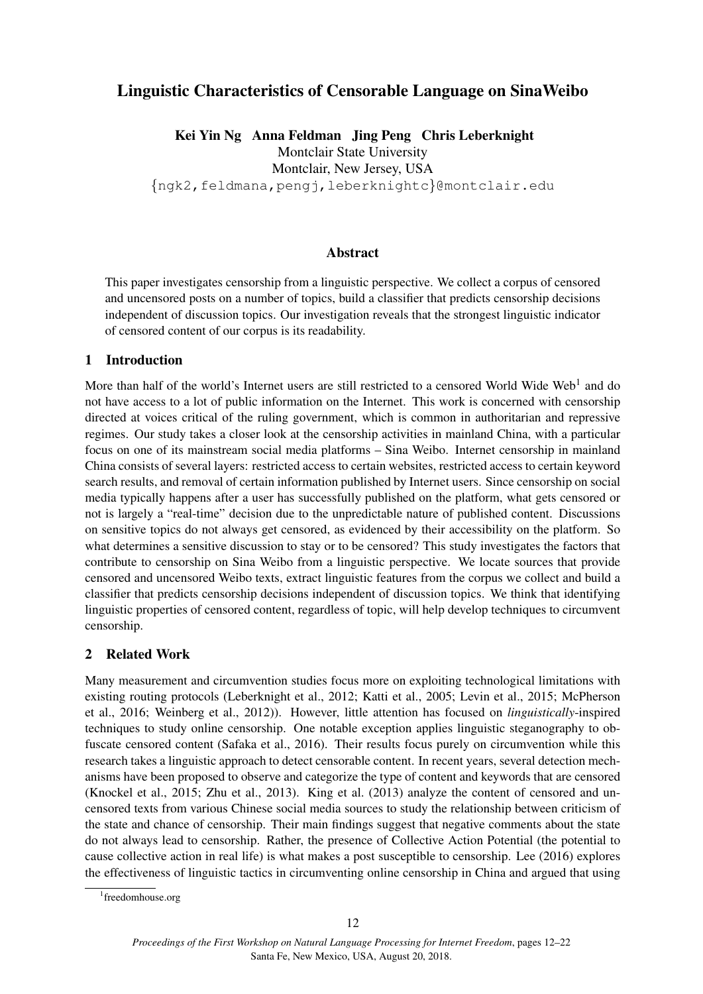# Linguistic Characteristics of Censorable Language on SinaWeibo

Kei Yin Ng Anna Feldman Jing Peng Chris Leberknight Montclair State University Montclair, New Jersey, USA {ngk2,feldmana,pengj,leberknightc}@montclair.edu

Abstract

This paper investigates censorship from a linguistic perspective. We collect a corpus of censored and uncensored posts on a number of topics, build a classifier that predicts censorship decisions independent of discussion topics. Our investigation reveals that the strongest linguistic indicator of censored content of our corpus is its readability.

#### 1 Introduction

More than half of the world's Internet users are still restricted to a censored World Wide Web<sup>1</sup> and do not have access to a lot of public information on the Internet. This work is concerned with censorship directed at voices critical of the ruling government, which is common in authoritarian and repressive regimes. Our study takes a closer look at the censorship activities in mainland China, with a particular focus on one of its mainstream social media platforms – Sina Weibo. Internet censorship in mainland China consists of several layers: restricted access to certain websites, restricted access to certain keyword search results, and removal of certain information published by Internet users. Since censorship on social media typically happens after a user has successfully published on the platform, what gets censored or not is largely a "real-time" decision due to the unpredictable nature of published content. Discussions on sensitive topics do not always get censored, as evidenced by their accessibility on the platform. So what determines a sensitive discussion to stay or to be censored? This study investigates the factors that contribute to censorship on Sina Weibo from a linguistic perspective. We locate sources that provide censored and uncensored Weibo texts, extract linguistic features from the corpus we collect and build a classifier that predicts censorship decisions independent of discussion topics. We think that identifying linguistic properties of censored content, regardless of topic, will help develop techniques to circumvent censorship.

#### 2 Related Work

Many measurement and circumvention studies focus more on exploiting technological limitations with existing routing protocols (Leberknight et al., 2012; Katti et al., 2005; Levin et al., 2015; McPherson et al., 2016; Weinberg et al., 2012)). However, little attention has focused on *linguistically*-inspired techniques to study online censorship. One notable exception applies linguistic steganography to obfuscate censored content (Safaka et al., 2016). Their results focus purely on circumvention while this research takes a linguistic approach to detect censorable content. In recent years, several detection mechanisms have been proposed to observe and categorize the type of content and keywords that are censored (Knockel et al., 2015; Zhu et al., 2013). King et al. (2013) analyze the content of censored and uncensored texts from various Chinese social media sources to study the relationship between criticism of the state and chance of censorship. Their main findings suggest that negative comments about the state do not always lead to censorship. Rather, the presence of Collective Action Potential (the potential to cause collective action in real life) is what makes a post susceptible to censorship. Lee (2016) explores the effectiveness of linguistic tactics in circumventing online censorship in China and argued that using

<sup>1</sup> freedomhouse.org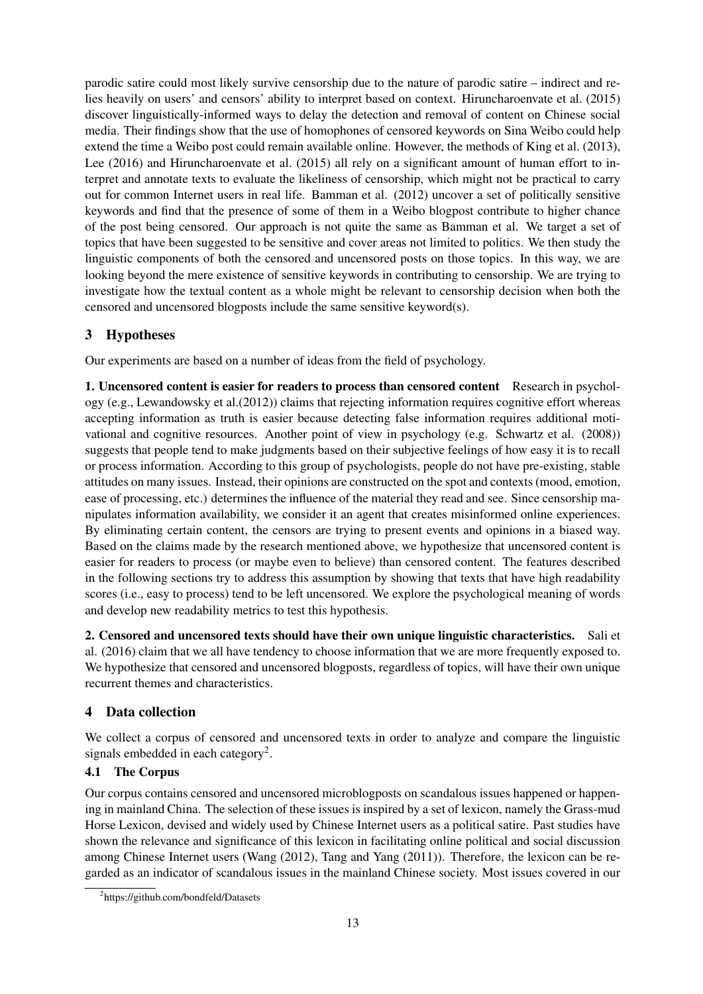parodic satire could most likely survive censorship due to the nature of parodic satire – indirect and relies heavily on users' and censors' ability to interpret based on context. Hiruncharoenvate et al. (2015) discover linguistically-informed ways to delay the detection and removal of content on Chinese social media. Their findings show that the use of homophones of censored keywords on Sina Weibo could help extend the time a Weibo post could remain available online. However, the methods of King et al. (2013), Lee (2016) and Hiruncharoenvate et al. (2015) all rely on a significant amount of human effort to interpret and annotate texts to evaluate the likeliness of censorship, which might not be practical to carry out for common Internet users in real life. Bamman et al. (2012) uncover a set of politically sensitive keywords and find that the presence of some of them in a Weibo blogpost contribute to higher chance of the post being censored. Our approach is not quite the same as Bamman et al. We target a set of topics that have been suggested to be sensitive and cover areas not limited to politics. We then study the linguistic components of both the censored and uncensored posts on those topics. In this way, we are looking beyond the mere existence of sensitive keywords in contributing to censorship. We are trying to investigate how the textual content as a whole might be relevant to censorship decision when both the censored and uncensored blogposts include the same sensitive keyword(s).

## 3 Hypotheses

Our experiments are based on a number of ideas from the field of psychology.

1. Uncensored content is easier for readers to process than censored content Research in psychology (e.g., Lewandowsky et al.(2012)) claims that rejecting information requires cognitive effort whereas accepting information as truth is easier because detecting false information requires additional motivational and cognitive resources. Another point of view in psychology (e.g. Schwartz et al. (2008)) suggests that people tend to make judgments based on their subjective feelings of how easy it is to recall or process information. According to this group of psychologists, people do not have pre-existing, stable attitudes on many issues. Instead, their opinions are constructed on the spot and contexts (mood, emotion, ease of processing, etc.) determines the influence of the material they read and see. Since censorship manipulates information availability, we consider it an agent that creates misinformed online experiences. By eliminating certain content, the censors are trying to present events and opinions in a biased way. Based on the claims made by the research mentioned above, we hypothesize that uncensored content is easier for readers to process (or maybe even to believe) than censored content. The features described in the following sections try to address this assumption by showing that texts that have high readability scores (i.e., easy to process) tend to be left uncensored. We explore the psychological meaning of words and develop new readability metrics to test this hypothesis.

2. Censored and uncensored texts should have their own unique linguistic characteristics. Sali et al. (2016) claim that we all have tendency to choose information that we are more frequently exposed to. We hypothesize that censored and uncensored blogposts, regardless of topics, will have their own unique recurrent themes and characteristics.

## 4 Data collection

We collect a corpus of censored and uncensored texts in order to analyze and compare the linguistic signals embedded in each category<sup>2</sup>.

## 4.1 The Corpus

Our corpus contains censored and uncensored microblogposts on scandalous issues happened or happening in mainland China. The selection of these issues is inspired by a set of lexicon, namely the Grass-mud Horse Lexicon, devised and widely used by Chinese Internet users as a political satire. Past studies have shown the relevance and significance of this lexicon in facilitating online political and social discussion among Chinese Internet users (Wang (2012), Tang and Yang (2011)). Therefore, the lexicon can be regarded as an indicator of scandalous issues in the mainland Chinese society. Most issues covered in our

<sup>2</sup> https://github.com/bondfeld/Datasets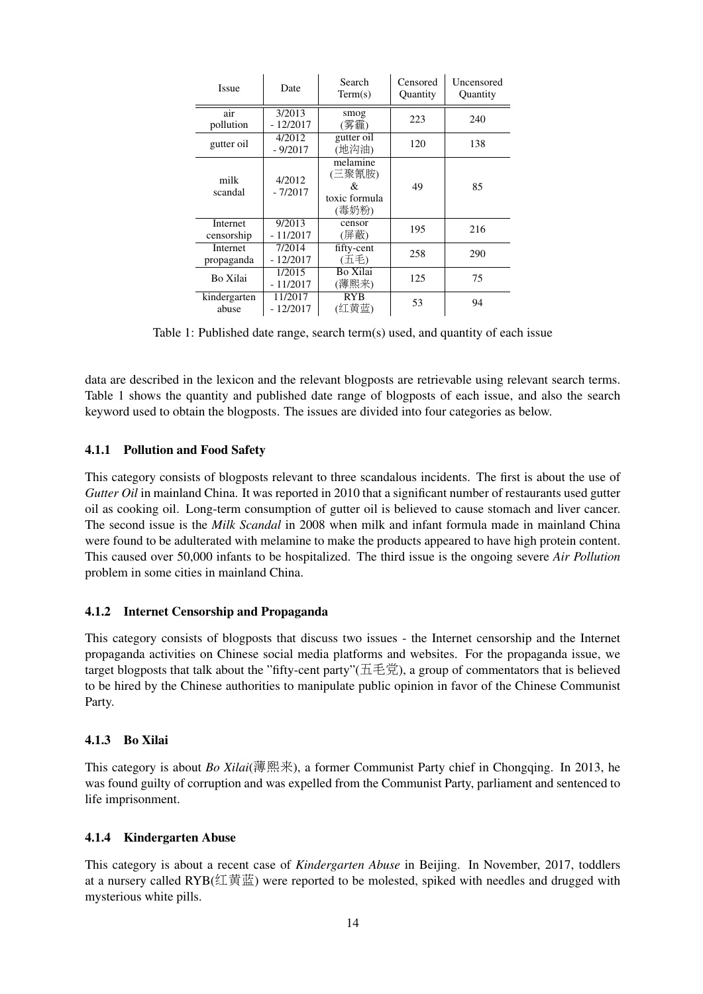| <b>Issue</b>           | Date                  | Search<br>Term(s)                                 | Censored<br>Quantity | Uncensored<br>Quantity |  |
|------------------------|-----------------------|---------------------------------------------------|----------------------|------------------------|--|
| air<br>pollution       | 3/2013<br>$-12/2017$  | smog<br>(雾霾)                                      | 223                  | 240                    |  |
| gutter oil             | 4/2012<br>$-9/2017$   | gutter oil<br>(地沟油)                               | 120                  | 138                    |  |
| milk<br>scandal        | 4/2012<br>$-7/2017$   | melamine<br>(三聚氰胺)<br>&<br>toxic formula<br>(毒奶粉) | 49                   | 85                     |  |
| Internet<br>censorship | 9/2013<br>$-11/2017$  | censor<br>(屏蔽)                                    | 195                  | 216                    |  |
| Internet<br>propaganda | 7/2014<br>$-12/2017$  | fifty-cent<br>(五毛)                                | 258                  | 290                    |  |
| Bo Xilai               | 1/2015<br>$-11/2017$  | Bo Xilai<br>(薄熙来)                                 | 125                  | 75                     |  |
| kindergarten<br>abuse  | 11/2017<br>$-12/2017$ | <b>RYB</b><br>(红黄蓝)                               | 53                   | 94                     |  |

Table 1: Published date range, search term(s) used, and quantity of each issue

data are described in the lexicon and the relevant blogposts are retrievable using relevant search terms. Table 1 shows the quantity and published date range of blogposts of each issue, and also the search keyword used to obtain the blogposts. The issues are divided into four categories as below.

#### 4.1.1 Pollution and Food Safety

This category consists of blogposts relevant to three scandalous incidents. The first is about the use of *Gutter Oil* in mainland China. It was reported in 2010 that a significant number of restaurants used gutter oil as cooking oil. Long-term consumption of gutter oil is believed to cause stomach and liver cancer. The second issue is the *Milk Scandal* in 2008 when milk and infant formula made in mainland China were found to be adulterated with melamine to make the products appeared to have high protein content. This caused over 50,000 infants to be hospitalized. The third issue is the ongoing severe *Air Pollution* problem in some cities in mainland China.

#### 4.1.2 Internet Censorship and Propaganda

This category consists of blogposts that discuss two issues - the Internet censorship and the Internet propaganda activities on Chinese social media platforms and websites. For the propaganda issue, we target blogposts that talk about the "fifty-cent party"(五毛党), a group of commentators that is believed to be hired by the Chinese authorities to manipulate public opinion in favor of the Chinese Communist Party.

#### 4.1.3 Bo Xilai

This category is about *Bo Xilai*(薄熙来), a former Communist Party chief in Chongqing. In 2013, he was found guilty of corruption and was expelled from the Communist Party, parliament and sentenced to life imprisonment.

#### 4.1.4 Kindergarten Abuse

This category is about a recent case of *Kindergarten Abuse* in Beijing. In November, 2017, toddlers at a nursery called RYB(红黄蓝) were reported to be molested, spiked with needles and drugged with mysterious white pills.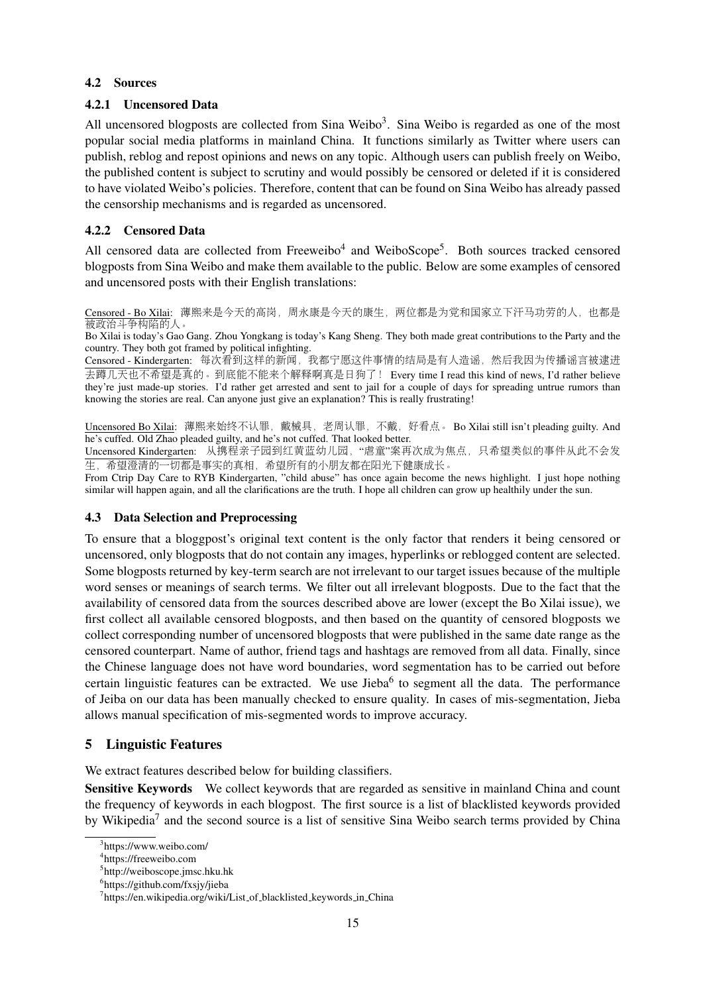#### 4.2 Sources

#### 4.2.1 Uncensored Data

All uncensored blogposts are collected from Sina Weibo<sup>3</sup>. Sina Weibo is regarded as one of the most popular social media platforms in mainland China. It functions similarly as Twitter where users can publish, reblog and repost opinions and news on any topic. Although users can publish freely on Weibo, the published content is subject to scrutiny and would possibly be censored or deleted if it is considered to have violated Weibo's policies. Therefore, content that can be found on Sina Weibo has already passed the censorship mechanisms and is regarded as uncensored.

### 4.2.2 Censored Data

All censored data are collected from Freeweibo<sup>4</sup> and WeiboScope<sup>5</sup>. Both sources tracked censored blogposts from Sina Weibo and make them available to the public. Below are some examples of censored and uncensored posts with their English translations:

Censored - Bo Xilai: <sup>薄</sup>熙来是今天的高岗,周永康是今天的康生,两位都是为党和国家立下汗马功劳的人,也都<sup>是</sup> 被政治斗争构陷的人。

Bo Xilai is today's Gao Gang. Zhou Yongkang is today's Kang Sheng. They both made great contributions to the Party and the country. They both got framed by political infighting.

Censored - Kindergarten: 每次看到这样的新闻, 我都宁愿这件事情的结局是有人造谣, 然后我因为传播谣言被逮进 <sup>去</sup>蹲几天也不希望是真的。到底能不能来个解释啊真是日狗了! Every time I read this kind of news, I'd rather believe they're just made-up stories. I'd rather get arrested and sent to jail for a couple of days for spreading untrue rumors than knowing the stories are real. Can anyone just give an explanation? This is really frustrating!

Uncensored Bo Xilai: 薄熙来始终不认罪, 戴械具, 老周认罪, 不戴, 好看点。 Bo Xilai still isn't pleading guilty. And he's cuffed. Old Zhao pleaded guilty, and he's not cuffed. That looked better.

Uncensored Kindergarten: 从携程亲子园到红黄蓝幼儿园, "虐童"案再次成为焦点, 只希望类似的事件从此不会发 生,希望澄清的一切都是事实的真相,希望所有的小朋友都在阳光下健康成长。

From Ctrip Day Care to RYB Kindergarten, "child abuse" has once again become the news highlight. I just hope nothing similar will happen again, and all the clarifications are the truth. I hope all children can grow up healthily under the sun.

#### 4.3 Data Selection and Preprocessing

To ensure that a bloggpost's original text content is the only factor that renders it being censored or uncensored, only blogposts that do not contain any images, hyperlinks or reblogged content are selected. Some blogposts returned by key-term search are not irrelevant to our target issues because of the multiple word senses or meanings of search terms. We filter out all irrelevant blogposts. Due to the fact that the availability of censored data from the sources described above are lower (except the Bo Xilai issue), we first collect all available censored blogposts, and then based on the quantity of censored blogposts we collect corresponding number of uncensored blogposts that were published in the same date range as the censored counterpart. Name of author, friend tags and hashtags are removed from all data. Finally, since the Chinese language does not have word boundaries, word segmentation has to be carried out before certain linguistic features can be extracted. We use Jieba<sup>6</sup> to segment all the data. The performance of Jeiba on our data has been manually checked to ensure quality. In cases of mis-segmentation, Jieba allows manual specification of mis-segmented words to improve accuracy.

## 5 Linguistic Features

We extract features described below for building classifiers.

Sensitive Keywords We collect keywords that are regarded as sensitive in mainland China and count the frequency of keywords in each blogpost. The first source is a list of blacklisted keywords provided by Wikipedia<sup>7</sup> and the second source is a list of sensitive Sina Weibo search terms provided by China

<sup>&</sup>lt;sup>3</sup>https://www.weibo.com/

<sup>4</sup> https://freeweibo.com

<sup>&</sup>lt;sup>5</sup>http://weiboscope.jmsc.hku.hk

<sup>6</sup> https://github.com/fxsjy/jieba

<sup>&</sup>lt;sup>7</sup>https://en.wikipedia.org/wiki/List\_of\_blacklisted\_keywords\_in\_China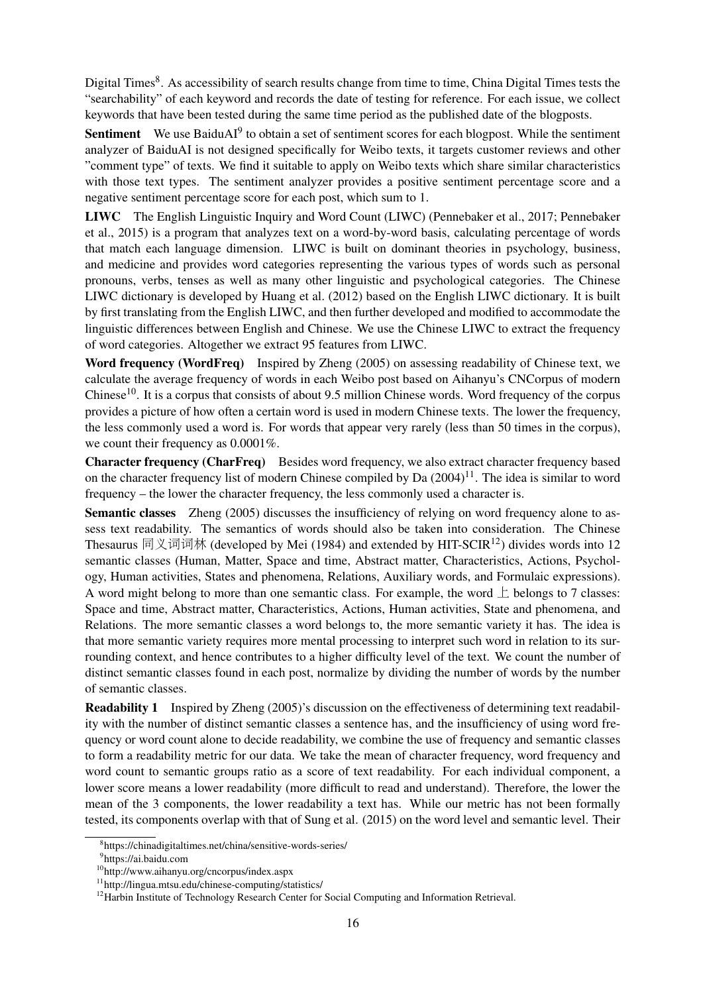Digital Times<sup>8</sup>. As accessibility of search results change from time to time, China Digital Times tests the "searchability" of each keyword and records the date of testing for reference. For each issue, we collect keywords that have been tested during the same time period as the published date of the blogposts.

Sentiment We use BaiduAI<sup>9</sup> to obtain a set of sentiment scores for each blogpost. While the sentiment analyzer of BaiduAI is not designed specifically for Weibo texts, it targets customer reviews and other "comment type" of texts. We find it suitable to apply on Weibo texts which share similar characteristics with those text types. The sentiment analyzer provides a positive sentiment percentage score and a negative sentiment percentage score for each post, which sum to 1.

LIWC The English Linguistic Inquiry and Word Count (LIWC) (Pennebaker et al., 2017; Pennebaker et al., 2015) is a program that analyzes text on a word-by-word basis, calculating percentage of words that match each language dimension. LIWC is built on dominant theories in psychology, business, and medicine and provides word categories representing the various types of words such as personal pronouns, verbs, tenses as well as many other linguistic and psychological categories. The Chinese LIWC dictionary is developed by Huang et al. (2012) based on the English LIWC dictionary. It is built by first translating from the English LIWC, and then further developed and modified to accommodate the linguistic differences between English and Chinese. We use the Chinese LIWC to extract the frequency of word categories. Altogether we extract 95 features from LIWC.

Word frequency (WordFreq) Inspired by Zheng (2005) on assessing readability of Chinese text, we calculate the average frequency of words in each Weibo post based on Aihanyu's CNCorpus of modern Chinese<sup>10</sup>. It is a corpus that consists of about 9.5 million Chinese words. Word frequency of the corpus provides a picture of how often a certain word is used in modern Chinese texts. The lower the frequency, the less commonly used a word is. For words that appear very rarely (less than 50 times in the corpus), we count their frequency as 0.0001%.

Character frequency (CharFreq) Besides word frequency, we also extract character frequency based on the character frequency list of modern Chinese compiled by Da  $(2004)^{11}$ . The idea is similar to word frequency – the lower the character frequency, the less commonly used a character is.

Semantic classes Zheng (2005) discusses the insufficiency of relying on word frequency alone to assess text readability. The semantics of words should also be taken into consideration. The Chinese Thesaurus 同义词词林 (developed by Mei (1984) and extended by HIT-SCIR<sup>12</sup>) divides words into 12 semantic classes (Human, Matter, Space and time, Abstract matter, Characteristics, Actions, Psychology, Human activities, States and phenomena, Relations, Auxiliary words, and Formulaic expressions). A word might belong to more than one semantic class. For example, the word  $\perp$  belongs to 7 classes: Space and time, Abstract matter, Characteristics, Actions, Human activities, State and phenomena, and Relations. The more semantic classes a word belongs to, the more semantic variety it has. The idea is that more semantic variety requires more mental processing to interpret such word in relation to its surrounding context, and hence contributes to a higher difficulty level of the text. We count the number of distinct semantic classes found in each post, normalize by dividing the number of words by the number of semantic classes.

Readability 1 Inspired by Zheng (2005)'s discussion on the effectiveness of determining text readability with the number of distinct semantic classes a sentence has, and the insufficiency of using word frequency or word count alone to decide readability, we combine the use of frequency and semantic classes to form a readability metric for our data. We take the mean of character frequency, word frequency and word count to semantic groups ratio as a score of text readability. For each individual component, a lower score means a lower readability (more difficult to read and understand). Therefore, the lower the mean of the 3 components, the lower readability a text has. While our metric has not been formally tested, its components overlap with that of Sung et al. (2015) on the word level and semantic level. Their

<sup>8</sup> https://chinadigitaltimes.net/china/sensitive-words-series/

<sup>&</sup>lt;sup>9</sup>https://ai.baidu.com

<sup>10</sup>http://www.aihanyu.org/cncorpus/index.aspx

<sup>11</sup>http://lingua.mtsu.edu/chinese-computing/statistics/

<sup>&</sup>lt;sup>12</sup>Harbin Institute of Technology Research Center for Social Computing and Information Retrieval.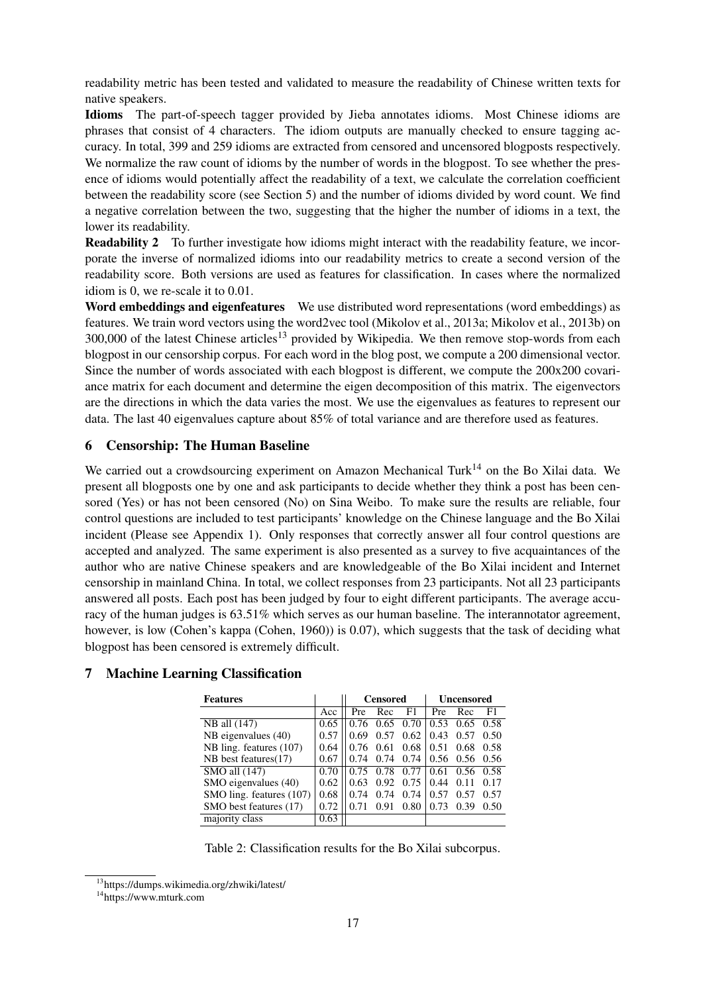readability metric has been tested and validated to measure the readability of Chinese written texts for native speakers.

Idioms The part-of-speech tagger provided by Jieba annotates idioms. Most Chinese idioms are phrases that consist of 4 characters. The idiom outputs are manually checked to ensure tagging accuracy. In total, 399 and 259 idioms are extracted from censored and uncensored blogposts respectively. We normalize the raw count of idioms by the number of words in the blogpost. To see whether the presence of idioms would potentially affect the readability of a text, we calculate the correlation coefficient between the readability score (see Section 5) and the number of idioms divided by word count. We find a negative correlation between the two, suggesting that the higher the number of idioms in a text, the lower its readability.

Readability 2 To further investigate how idioms might interact with the readability feature, we incorporate the inverse of normalized idioms into our readability metrics to create a second version of the readability score. Both versions are used as features for classification. In cases where the normalized idiom is 0, we re-scale it to 0.01.

Word embeddings and eigenfeatures We use distributed word representations (word embeddings) as features. We train word vectors using the word2vec tool (Mikolov et al., 2013a; Mikolov et al., 2013b) on  $300,000$  of the latest Chinese articles<sup>13</sup> provided by Wikipedia. We then remove stop-words from each blogpost in our censorship corpus. For each word in the blog post, we compute a 200 dimensional vector. Since the number of words associated with each blogpost is different, we compute the 200x200 covariance matrix for each document and determine the eigen decomposition of this matrix. The eigenvectors are the directions in which the data varies the most. We use the eigenvalues as features to represent our data. The last 40 eigenvalues capture about 85% of total variance and are therefore used as features.

### 6 Censorship: The Human Baseline

We carried out a crowdsourcing experiment on Amazon Mechanical Turk<sup>14</sup> on the Bo Xilai data. We present all blogposts one by one and ask participants to decide whether they think a post has been censored (Yes) or has not been censored (No) on Sina Weibo. To make sure the results are reliable, four control questions are included to test participants' knowledge on the Chinese language and the Bo Xilai incident (Please see Appendix 1). Only responses that correctly answer all four control questions are accepted and analyzed. The same experiment is also presented as a survey to five acquaintances of the author who are native Chinese speakers and are knowledgeable of the Bo Xilai incident and Internet censorship in mainland China. In total, we collect responses from 23 participants. Not all 23 participants answered all posts. Each post has been judged by four to eight different participants. The average accuracy of the human judges is 63.51% which serves as our human baseline. The interannotator agreement, however, is low (Cohen's kappa (Cohen, 1960)) is 0.07), which suggests that the task of deciding what blogpost has been censored is extremely difficult.

|                          | <b>Censored</b> |      |      | <b>Uncensored</b> |      |      |
|--------------------------|-----------------|------|------|-------------------|------|------|
| Acc                      | Pre             | Rec  | F1   | Pre               | Rec  | F1   |
| 0.65                     | 0.76            | 0.65 | 0.70 | 0.53              | 0.65 | 0.58 |
| 0.57                     | 0.69            | 0.57 | 0.62 | 0.43              | 0.57 | 0.50 |
| 0.64                     | 0.76            | 0.61 | 0.68 | 0.51              | 0.68 | 0.58 |
| 0.67                     | 0.74            | 0.74 | 0.74 | 0.56              | 0.56 | 0.56 |
| 0.70                     | 0.75            | 0.78 | 0.77 | 0.61              | 0.56 | 0.58 |
| 0.62                     | 0.63            | 0.92 | 0.75 | 0.44              | 0.11 | 0.17 |
| 0.68                     | 0.74            | 0.74 | 0.74 | 0.57              | 0.57 | 0.57 |
| 0.72                     |                 | 0.91 | 0.80 | 0.73              | 0.39 | 0.50 |
| 0.63                     |                 |      |      |                   |      |      |
| SMO ling. features (107) |                 |      |      |                   |      |      |

## 7 Machine Learning Classification

Table 2: Classification results for the Bo Xilai subcorpus.

<sup>13</sup>https://dumps.wikimedia.org/zhwiki/latest/

<sup>14</sup>https://www.mturk.com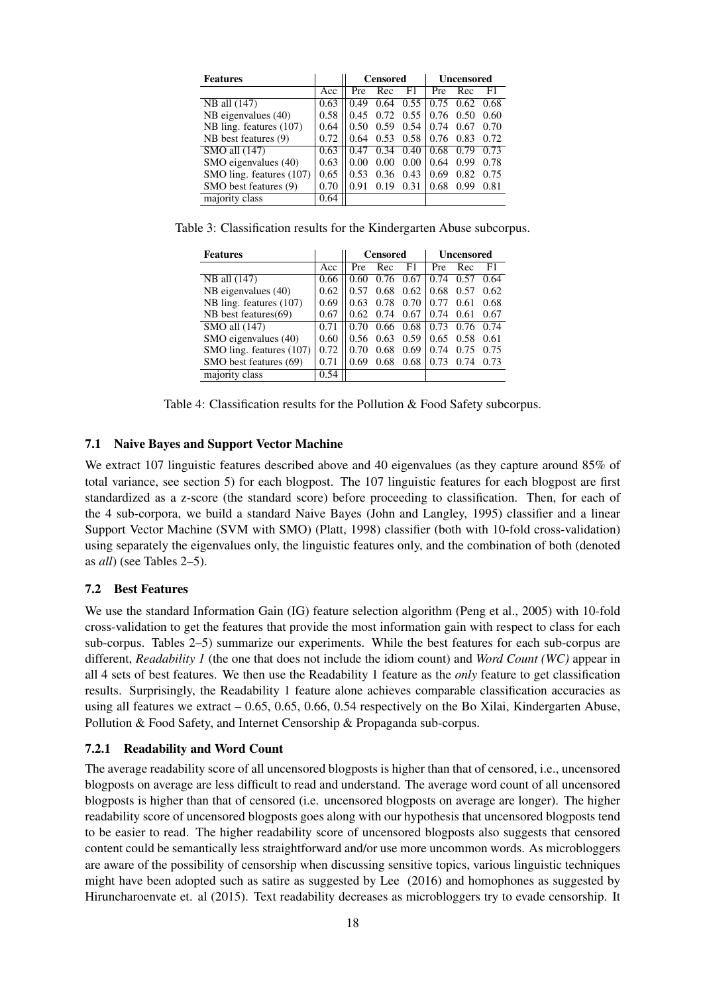| <b>Features</b>          |      | <b>Censored</b> |      |      | Uncensored |      |      |
|--------------------------|------|-----------------|------|------|------------|------|------|
|                          | Acc  | Pre             | Rec  | F1   | Pre        | Rec  | F1   |
| NB all (147)             | 0.63 | 0.49            | 0.64 | 0.55 | 0.75       | 0.62 | 0.68 |
| NB eigenvalues (40)      | 0.58 | 0.45            | 0.72 | 0.55 | 0.76       | 0.50 | 0.60 |
| NB ling. features (107)  | 0.64 | 0.50            | 0.59 | 0.54 | 0.74       | 0.67 | 0.70 |
| NB best features (9)     | 0.72 | 0.64            | 0.53 | 0.58 | 0.76       | 0.83 | 0.72 |
| SMO all (147)            | 0.63 | 0.47            | 0.34 | 0.40 | 0.68       | 0.79 | 0.73 |
| SMO eigenvalues (40)     | 0.63 | 0.00            | 0.00 | 0.00 | 0.64       | 0.99 | 0.78 |
| SMO ling. features (107) | 0.65 | 0.53            | 0.36 | 0.43 | 0.69       | 0.82 | 0.75 |
| SMO best features (9)    | 0.70 | 0.91            | 0.19 | 0.31 | 0.68       | 0.99 | 0.81 |
| majority class           | 0.64 |                 |      |      |            |      |      |

Table 3: Classification results for the Kindergarten Abuse subcorpus.

| <b>Features</b>          |      | <b>Censored</b> |      | <b>Uncensored</b> |      |      |      |
|--------------------------|------|-----------------|------|-------------------|------|------|------|
|                          | Acc  | Pre             | Rec  | F1                | Pre  | Rec  | F1.  |
| NB all (147)             | 0.66 | 0.60            | 0.76 | 0.67              | 0.74 | 0.57 | 0.64 |
| NB eigenvalues $(40)$    | 0.62 | 0.57            | 0.68 | 0.62              | 0.68 | 0.57 | 0.62 |
| NB ling. features (107)  | 0.69 | 0.63            | 0.78 | 0.70              | 0.77 | 0.61 | 0.68 |
| NB best features(69)     | 0.67 | 0.62            | 0.74 | 0.67              | 0.74 | 0.61 | 0.67 |
| SMO all (147)            | 0.71 | 0.70            | 0.66 | 0.68              | 0.73 | 0.76 | 0.74 |
| SMO eigenvalues (40)     | 0.60 | 0.56            | 0.63 | 0.59              | 0.65 | 0.58 | 0.61 |
| SMO ling. features (107) | 0.72 | 0.70            | 0.68 | 0.69              | 0.74 | 0.75 | 0.75 |
| SMO best features (69)   | 0.71 | 0.69            | 0.68 | 0.68              | 0.73 | 0.74 | 0.73 |
| majority class           | 0.54 |                 |      |                   |      |      |      |

Table 4: Classification results for the Pollution & Food Safety subcorpus.

#### 7.1 Naive Bayes and Support Vector Machine

We extract 107 linguistic features described above and 40 eigenvalues (as they capture around 85% of total variance, see section 5) for each blogpost. The 107 linguistic features for each blogpost are first standardized as a z-score (the standard score) before proceeding to classification. Then, for each of the 4 sub-corpora, we build a standard Naive Bayes (John and Langley, 1995) classifier and a linear Support Vector Machine (SVM with SMO) (Platt, 1998) classifier (both with 10-fold cross-validation) using separately the eigenvalues only, the linguistic features only, and the combination of both (denoted as *all*) (see Tables 2–5).

#### 7.2 Best Features

We use the standard Information Gain (IG) feature selection algorithm (Peng et al., 2005) with 10-fold cross-validation to get the features that provide the most information gain with respect to class for each sub-corpus. Tables 2–5) summarize our experiments. While the best features for each sub-corpus are different, *Readability 1* (the one that does not include the idiom count) and *Word Count (WC)* appear in all 4 sets of best features. We then use the Readability 1 feature as the *only* feature to get classification results. Surprisingly, the Readability 1 feature alone achieves comparable classification accuracies as using all features we extract – 0.65, 0.65, 0.66, 0.54 respectively on the Bo Xilai, Kindergarten Abuse, Pollution & Food Safety, and Internet Censorship & Propaganda sub-corpus.

#### 7.2.1 Readability and Word Count

The average readability score of all uncensored blogposts is higher than that of censored, i.e., uncensored blogposts on average are less difficult to read and understand. The average word count of all uncensored blogposts is higher than that of censored (i.e. uncensored blogposts on average are longer). The higher readability score of uncensored blogposts goes along with our hypothesis that uncensored blogposts tend to be easier to read. The higher readability score of uncensored blogposts also suggests that censored content could be semantically less straightforward and/or use more uncommon words. As microbloggers are aware of the possibility of censorship when discussing sensitive topics, various linguistic techniques might have been adopted such as satire as suggested by Lee (2016) and homophones as suggested by Hiruncharoenvate et. al (2015). Text readability decreases as microbloggers try to evade censorship. It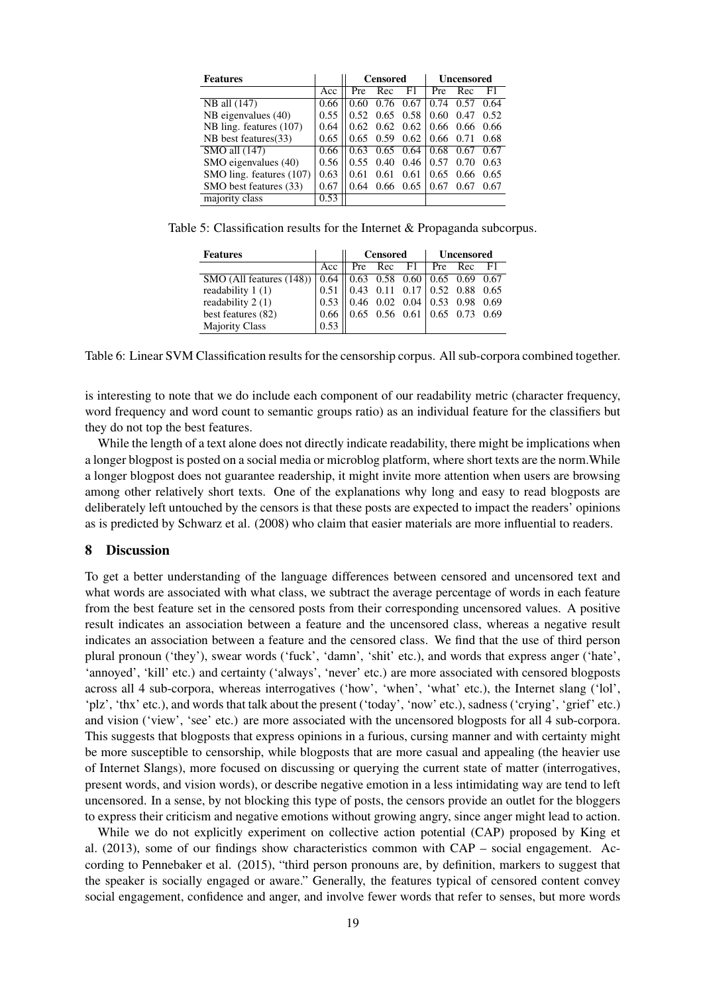| <b>Features</b>                     |      | <b>Censored</b> |          |      | Uncensored |      |      |
|-------------------------------------|------|-----------------|----------|------|------------|------|------|
|                                     | Acc  | Pre             | Rec      | F1   | Pre        | Rec  | F1   |
| NB all (147)                        | 0.66 | 0.60            | 0.76     | 0.67 | 0.74       | 0.57 | 0.64 |
| NB eigenvalues (40)                 | 0.55 | 0.52            | 0.65     | 0.58 | 0.60       | 0.47 | 0.52 |
| NB ling. features (107)             | 0.64 | 0.62            | 0.62     | 0.62 | 0.66       | 0.66 | 0.66 |
| NB best features (33)               | 0.65 | 0.65            | 0.59     | 0.62 | 0.66       | 0.71 | 0.68 |
| $\overline{\text{SMO}}$ all $(147)$ | 0.66 | 0.63            | $0.65 -$ | 0.64 | 0.68       | 0.67 | 0.67 |
| SMO eigenvalues (40)                | 0.56 | 0.55            | 0.40     | 0.46 | 0.57       | 0.70 | 0.63 |
| SMO ling. features (107)            | 0.63 | 0.61            | 0.61     | 0.61 | 0.65       | 0.66 | 0.65 |
| SMO best features (33)              | 0.67 | 0.64            | 0.66     | 0.65 | 0.67       | 0.67 | 0.67 |
| majority class                      | 0.53 |                 |          |      |            |      |      |

Table 5: Classification results for the Internet & Propaganda subcorpus.

| <b>Features</b>                                                                    |      | Censored                                  |  |                      | Uncensored |  |      |
|------------------------------------------------------------------------------------|------|-------------------------------------------|--|----------------------|------------|--|------|
|                                                                                    | Acc  |                                           |  | Pre Rec $F1$ Pre Rec |            |  | - F1 |
| SMO (All features $(148)$ ) $\vert 0.64 \vert \vert 0.63$ 0.58 0.60 0.65 0.69 0.67 |      |                                           |  |                      |            |  |      |
| readability $1(1)$                                                                 |      | $0.51$    0.43 0.11 0.17   0.52 0.88 0.65 |  |                      |            |  |      |
| readability 2 (1)                                                                  |      | $0.53$   0.46 0.02 0.04 0.53 0.98 0.69    |  |                      |            |  |      |
| best features (82)                                                                 | 0.66 |                                           |  |                      |            |  |      |
| <b>Majority Class</b>                                                              | 0.53 |                                           |  |                      |            |  |      |

Table 6: Linear SVM Classification results for the censorship corpus. All sub-corpora combined together.

is interesting to note that we do include each component of our readability metric (character frequency, word frequency and word count to semantic groups ratio) as an individual feature for the classifiers but they do not top the best features.

While the length of a text alone does not directly indicate readability, there might be implications when a longer blogpost is posted on a social media or microblog platform, where short texts are the norm.While a longer blogpost does not guarantee readership, it might invite more attention when users are browsing among other relatively short texts. One of the explanations why long and easy to read blogposts are deliberately left untouched by the censors is that these posts are expected to impact the readers' opinions as is predicted by Schwarz et al. (2008) who claim that easier materials are more influential to readers.

#### 8 Discussion

To get a better understanding of the language differences between censored and uncensored text and what words are associated with what class, we subtract the average percentage of words in each feature from the best feature set in the censored posts from their corresponding uncensored values. A positive result indicates an association between a feature and the uncensored class, whereas a negative result indicates an association between a feature and the censored class. We find that the use of third person plural pronoun ('they'), swear words ('fuck', 'damn', 'shit' etc.), and words that express anger ('hate', 'annoyed', 'kill' etc.) and certainty ('always', 'never' etc.) are more associated with censored blogposts across all 4 sub-corpora, whereas interrogatives ('how', 'when', 'what' etc.), the Internet slang ('lol', 'plz', 'thx' etc.), and words that talk about the present ('today', 'now' etc.), sadness ('crying', 'grief' etc.) and vision ('view', 'see' etc.) are more associated with the uncensored blogposts for all 4 sub-corpora. This suggests that blogposts that express opinions in a furious, cursing manner and with certainty might be more susceptible to censorship, while blogposts that are more casual and appealing (the heavier use of Internet Slangs), more focused on discussing or querying the current state of matter (interrogatives, present words, and vision words), or describe negative emotion in a less intimidating way are tend to left uncensored. In a sense, by not blocking this type of posts, the censors provide an outlet for the bloggers to express their criticism and negative emotions without growing angry, since anger might lead to action.

While we do not explicitly experiment on collective action potential (CAP) proposed by King et al. (2013), some of our findings show characteristics common with CAP – social engagement. According to Pennebaker et al. (2015), "third person pronouns are, by definition, markers to suggest that the speaker is socially engaged or aware." Generally, the features typical of censored content convey social engagement, confidence and anger, and involve fewer words that refer to senses, but more words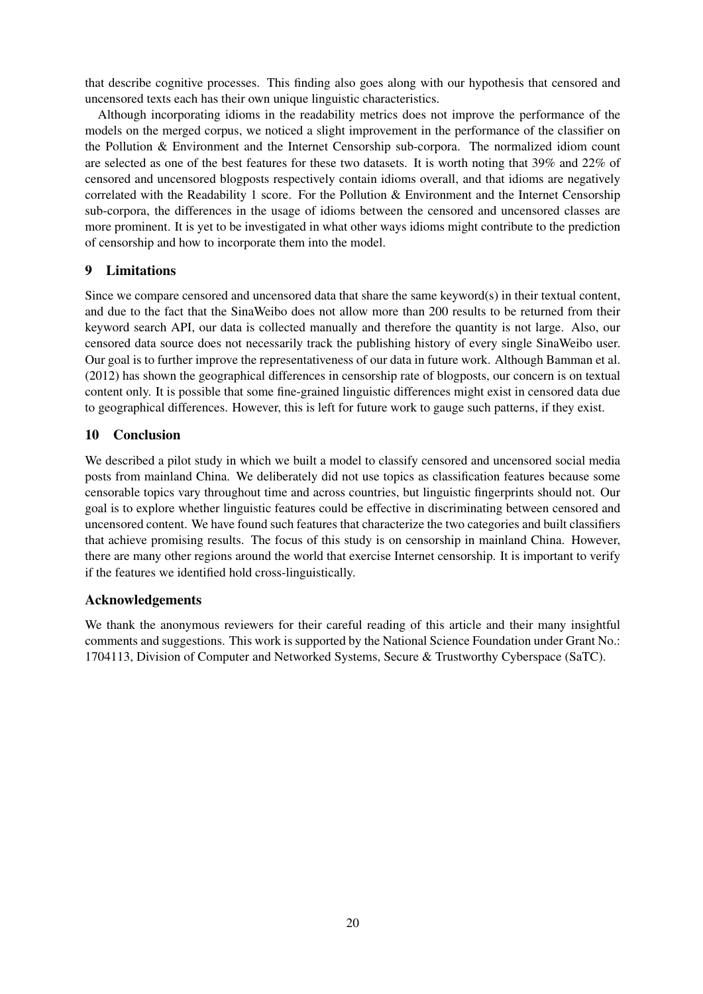that describe cognitive processes. This finding also goes along with our hypothesis that censored and uncensored texts each has their own unique linguistic characteristics.

Although incorporating idioms in the readability metrics does not improve the performance of the models on the merged corpus, we noticed a slight improvement in the performance of the classifier on the Pollution & Environment and the Internet Censorship sub-corpora. The normalized idiom count are selected as one of the best features for these two datasets. It is worth noting that 39% and 22% of censored and uncensored blogposts respectively contain idioms overall, and that idioms are negatively correlated with the Readability 1 score. For the Pollution & Environment and the Internet Censorship sub-corpora, the differences in the usage of idioms between the censored and uncensored classes are more prominent. It is yet to be investigated in what other ways idioms might contribute to the prediction of censorship and how to incorporate them into the model.

## 9 Limitations

Since we compare censored and uncensored data that share the same keyword(s) in their textual content, and due to the fact that the SinaWeibo does not allow more than 200 results to be returned from their keyword search API, our data is collected manually and therefore the quantity is not large. Also, our censored data source does not necessarily track the publishing history of every single SinaWeibo user. Our goal is to further improve the representativeness of our data in future work. Although Bamman et al. (2012) has shown the geographical differences in censorship rate of blogposts, our concern is on textual content only. It is possible that some fine-grained linguistic differences might exist in censored data due to geographical differences. However, this is left for future work to gauge such patterns, if they exist.

## 10 Conclusion

We described a pilot study in which we built a model to classify censored and uncensored social media posts from mainland China. We deliberately did not use topics as classification features because some censorable topics vary throughout time and across countries, but linguistic fingerprints should not. Our goal is to explore whether linguistic features could be effective in discriminating between censored and uncensored content. We have found such features that characterize the two categories and built classifiers that achieve promising results. The focus of this study is on censorship in mainland China. However, there are many other regions around the world that exercise Internet censorship. It is important to verify if the features we identified hold cross-linguistically.

## Acknowledgements

We thank the anonymous reviewers for their careful reading of this article and their many insightful comments and suggestions. This work is supported by the National Science Foundation under Grant No.: 1704113, Division of Computer and Networked Systems, Secure & Trustworthy Cyberspace (SaTC).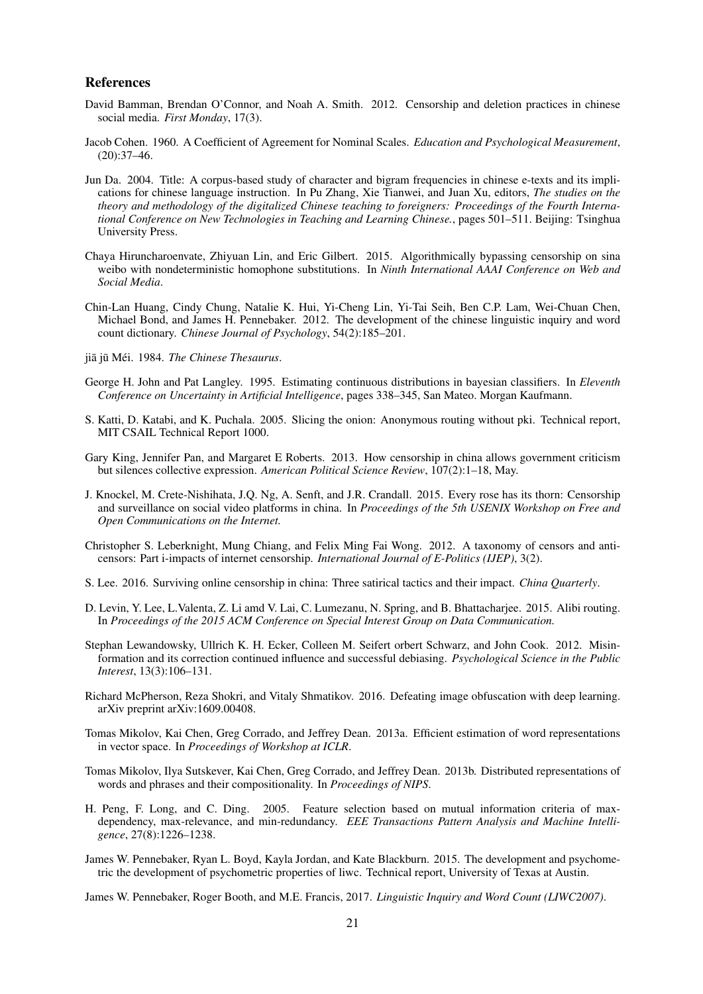#### References

- David Bamman, Brendan O'Connor, and Noah A. Smith. 2012. Censorship and deletion practices in chinese social media. *First Monday*, 17(3).
- Jacob Cohen. 1960. A Coefficient of Agreement for Nominal Scales. *Education and Psychological Measurement*,  $(20):37-46.$
- Jun Da. 2004. Title: A corpus-based study of character and bigram frequencies in chinese e-texts and its implications for chinese language instruction. In Pu Zhang, Xie Tianwei, and Juan Xu, editors, *The studies on the theory and methodology of the digitalized Chinese teaching to foreigners: Proceedings of the Fourth International Conference on New Technologies in Teaching and Learning Chinese.*, pages 501–511. Beijing: Tsinghua University Press.
- Chaya Hiruncharoenvate, Zhiyuan Lin, and Eric Gilbert. 2015. Algorithmically bypassing censorship on sina weibo with nondeterministic homophone substitutions. In *Ninth International AAAI Conference on Web and Social Media*.
- Chin-Lan Huang, Cindy Chung, Natalie K. Hui, Yi-Cheng Lin, Yi-Tai Seih, Ben C.P. Lam, Wei-Chuan Chen, Michael Bond, and James H. Pennebaker. 2012. The development of the chinese linguistic inquiry and word count dictionary. *Chinese Journal of Psychology*, 54(2):185–201.
- ijā jū Méi. 1984. *The Chinese Thesaurus*.
- George H. John and Pat Langley. 1995. Estimating continuous distributions in bayesian classifiers. In *Eleventh Conference on Uncertainty in Artificial Intelligence*, pages 338–345, San Mateo. Morgan Kaufmann.
- S. Katti, D. Katabi, and K. Puchala. 2005. Slicing the onion: Anonymous routing without pki. Technical report, MIT CSAIL Technical Report 1000.
- Gary King, Jennifer Pan, and Margaret E Roberts. 2013. How censorship in china allows government criticism but silences collective expression. *American Political Science Review*, 107(2):1–18, May.
- J. Knockel, M. Crete-Nishihata, J.Q. Ng, A. Senft, and J.R. Crandall. 2015. Every rose has its thorn: Censorship and surveillance on social video platforms in china. In *Proceedings of the 5th USENIX Workshop on Free and Open Communications on the Internet.*
- Christopher S. Leberknight, Mung Chiang, and Felix Ming Fai Wong. 2012. A taxonomy of censors and anticensors: Part i-impacts of internet censorship. *International Journal of E-Politics (IJEP)*, 3(2).
- S. Lee. 2016. Surviving online censorship in china: Three satirical tactics and their impact. *China Quarterly*.
- D. Levin, Y. Lee, L.Valenta, Z. Li amd V. Lai, C. Lumezanu, N. Spring, and B. Bhattacharjee. 2015. Alibi routing. In *Proceedings of the 2015 ACM Conference on Special Interest Group on Data Communication.*
- Stephan Lewandowsky, Ullrich K. H. Ecker, Colleen M. Seifert orbert Schwarz, and John Cook. 2012. Misinformation and its correction continued influence and successful debiasing. *Psychological Science in the Public Interest*, 13(3):106–131.
- Richard McPherson, Reza Shokri, and Vitaly Shmatikov. 2016. Defeating image obfuscation with deep learning. arXiv preprint arXiv:1609.00408.
- Tomas Mikolov, Kai Chen, Greg Corrado, and Jeffrey Dean. 2013a. Efficient estimation of word representations in vector space. In *Proceedings of Workshop at ICLR*.
- Tomas Mikolov, Ilya Sutskever, Kai Chen, Greg Corrado, and Jeffrey Dean. 2013b. Distributed representations of words and phrases and their compositionality. In *Proceedings of NIPS*.
- H. Peng, F. Long, and C. Ding. 2005. Feature selection based on mutual information criteria of maxdependency, max-relevance, and min-redundancy. *EEE Transactions Pattern Analysis and Machine Intelligence*, 27(8):1226–1238.
- James W. Pennebaker, Ryan L. Boyd, Kayla Jordan, and Kate Blackburn. 2015. The development and psychometric the development of psychometric properties of liwc. Technical report, University of Texas at Austin.
- James W. Pennebaker, Roger Booth, and M.E. Francis, 2017. *Linguistic Inquiry and Word Count (LIWC2007)*.